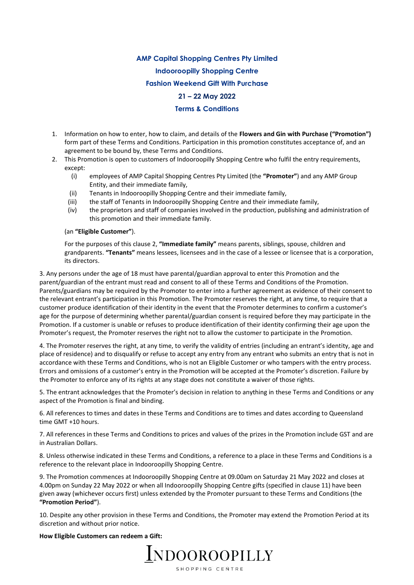# **AMP Capital Shopping Centres Pty Limited**

**Indooroopilly Shopping Centre** 

**Fashion Weekend Gift With Purchase**

# **21 – 22 May 2022**

## **Terms & Conditions**

- 1. Information on how to enter, how to claim, and details of the **Flowers and Gin with Purchase ("Promotion")**  form part of these Terms and Conditions. Participation in this promotion constitutes acceptance of, and an agreement to be bound by, these Terms and Conditions.
- 2. This Promotion is open to customers of Indooroopilly Shopping Centre who fulfil the entry requirements, except:
	- (i) employees of AMP Capital Shopping Centres Pty Limited (the **"Promoter"**) and any AMP Group Entity, and their immediate family,
	- (ii) Tenants in Indooroopilly Shopping Centre and their immediate family,
	- (iii) the staff of Tenants in Indooroopilly Shopping Centre and their immediate family,
	- (iv) the proprietors and staff of companies involved in the production, publishing and administration of this promotion and their immediate family.

### (an **"Eligible Customer"**).

For the purposes of this clause 2, **"Immediate family"** means parents, siblings, spouse, children and grandparents. **"Tenants"** means lessees, licensees and in the case of a lessee or licensee that is a corporation, its directors.

3. Any persons under the age of 18 must have parental/guardian approval to enter this Promotion and the parent/guardian of the entrant must read and consent to all of these Terms and Conditions of the Promotion. Parents/guardians may be required by the Promoter to enter into a further agreement as evidence of their consent to the relevant entrant's participation in this Promotion. The Promoter reserves the right, at any time, to require that a customer produce identification of their identity in the event that the Promoter determines to confirm a customer's age for the purpose of determining whether parental/guardian consent is required before they may participate in the Promotion. If a customer is unable or refuses to produce identification of their identity confirming their age upon the Promoter's request, the Promoter reserves the right not to allow the customer to participate in the Promotion.

4. The Promoter reserves the right, at any time, to verify the validity of entries (including an entrant's identity, age and place of residence) and to disqualify or refuse to accept any entry from any entrant who submits an entry that is not in accordance with these Terms and Conditions, who is not an Eligible Customer or who tampers with the entry process. Errors and omissions of a customer's entry in the Promotion will be accepted at the Promoter's discretion. Failure by the Promoter to enforce any of its rights at any stage does not constitute a waiver of those rights.

5. The entrant acknowledges that the Promoter's decision in relation to anything in these Terms and Conditions or any aspect of the Promotion is final and binding.

6. All references to times and dates in these Terms and Conditions are to times and dates according to Queensland time GMT +10 hours.

7. All references in these Terms and Conditions to prices and values of the prizes in the Promotion include GST and are in Australian Dollars.

8. Unless otherwise indicated in these Terms and Conditions, a reference to a place in these Terms and Conditions is a reference to the relevant place in Indooroopilly Shopping Centre.

9. The Promotion commences at Indooroopilly Shopping Centre at 09.00am on Saturday 21 May 2022 and closes at 4.00pm on Sunday 22 May 2022 or when all Indooroopilly Shopping Centre gifts (specified in clause 11) have been given away (whichever occurs first) unless extended by the Promoter pursuant to these Terms and Conditions (the **"Promotion Period"**).

10. Despite any other provision in these Terms and Conditions, the Promoter may extend the Promotion Period at its discretion and without prior notice.

#### **How Eligible Customers can redeem a Gift:**

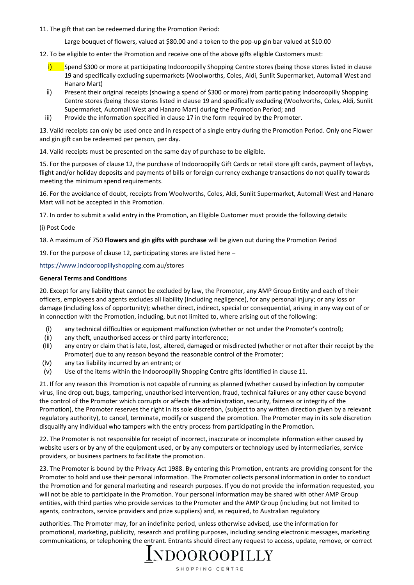11. The gift that can be redeemed during the Promotion Period:

Large bouquet of flowers, valued at \$80.00 and a token to the pop-up gin bar valued at \$10.00

12. To be eligible to enter the Promotion and receive one of the above gifts eligible Customers must:

- Spend \$300 or more at participating Indooroopilly Shopping Centre stores (being those stores listed in clause 19 and specifically excluding supermarkets (Woolworths, Coles, Aldi, Sunlit Supermarket, Automall West and Hanaro Mart)
- ii) Present their original receipts (showing a spend of \$300 or more) from participating Indooroopilly Shopping Centre stores (being those stores listed in clause 19 and specifically excluding (Woolworths, Coles, Aldi, Sunlit Supermarket, Automall West and Hanaro Mart) during the Promotion Period; and
- iii) Provide the information specified in clause 17 in the form required by the Promoter.

13. Valid receipts can only be used once and in respect of a single entry during the Promotion Period. Only one Flower and gin gift can be redeemed per person, per day.

14. Valid receipts must be presented on the same day of purchase to be eligible.

15. For the purposes of clause 12, the purchase of Indooroopilly Gift Cards or retail store gift cards, payment of laybys, flight and/or holiday deposits and payments of bills or foreign currency exchange transactions do not qualify towards meeting the minimum spend requirements.

16. For the avoidance of doubt, receipts from Woolworths, Coles, Aldi, Sunlit Supermarket, Automall West and Hanaro Mart will not be accepted in this Promotion.

17. In order to submit a valid entry in the Promotion, an Eligible Customer must provide the following details:

## (i) Post Code

18. A maximum of 750 **Flowers and gin gifts with purchase** will be given out during the Promotion Period

19. For the purpose of clause 12, participating stores are listed here –

[https://www.indooroopillyshopping.c](https://www.indooroopillyshopping/)om.au/stores

## **General Terms and Conditions**

20. Except for any liability that cannot be excluded by law, the Promoter, any AMP Group Entity and each of their officers, employees and agents excludes all liability (including negligence), for any personal injury; or any loss or damage (including loss of opportunity); whether direct, indirect, special or consequential, arising in any way out of or in connection with the Promotion, including, but not limited to, where arising out of the following:

- (i) any technical difficulties or equipment malfunction (whether or not under the Promoter's control);
- (ii) any theft, unauthorised access or third party interference;
- (iii) any entry or claim that is late, lost, altered, damaged or misdirected (whether or not after their receipt by the Promoter) due to any reason beyond the reasonable control of the Promoter;
- (iv) any tax liability incurred by an entrant; or
- (v) Use of the items within the Indooroopilly Shopping Centre gifts identified in clause 11.

21. If for any reason this Promotion is not capable of running as planned (whether caused by infection by computer virus, line drop out, bugs, tampering, unauthorised intervention, fraud, technical failures or any other cause beyond the control of the Promoter which corrupts or affects the administration, security, fairness or integrity of the Promotion), the Promoter reserves the right in its sole discretion, (subject to any written direction given by a relevant regulatory authority), to cancel, terminate, modify or suspend the promotion. The Promoter may in its sole discretion disqualify any individual who tampers with the entry process from participating in the Promotion.

22. The Promoter is not responsible for receipt of incorrect, inaccurate or incomplete information either caused by website users or by any of the equipment used, or by any computers or technology used by intermediaries, service providers, or business partners to facilitate the promotion.

23. The Promoter is bound by the Privacy Act 1988. By entering this Promotion, entrants are providing consent for the Promoter to hold and use their personal information. The Promoter collects personal information in order to conduct the Promotion and for general marketing and research purposes. If you do not provide the information requested, you will not be able to participate in the Promotion. Your personal information may be shared with other AMP Group entities, with third parties who provide services to the Promoter and the AMP Group (including but not limited to agents, contractors, service providers and prize suppliers) and, as required, to Australian regulatory

authorities. The Promoter may, for an indefinite period, unless otherwise advised, use the information for promotional, marketing, publicity, research and profiling purposes, including sending electronic messages, marketing communications, or telephoning the entrant. Entrants should direct any request to access, update, remove, or correct

# <u> I</u>NDOOROOPILLY

SHOPPING CENTRE